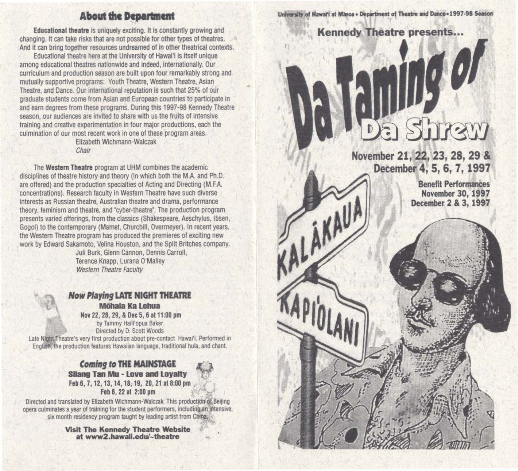#### **About the Department**

Educational theatre is uniquely exciting. It Is constantly growing and changing. It can take risks that are not possible for other types of theatres. And it can bring together resources undreamed of in other theatrical contexts.

Educational theatre here at the University of Hawal'l is itself unique among educational theatres nationwide and indeed, Internationally. Our curriculum and production season are built upon four remarkably strong and mutually supportive programs: Youth Theatre, Western Theatre, Asian Theatre, and Dance. Our international reputation Is such that 25% of our graduate students come from Asian and European countries to participate in and earn degrees from these programs. During this 1997-98 Kennedy Theatre season, our audiences are invited to share with us the fruits of intensive tralning and creative experimentation in four major productions, each the culmination of our most recent work in one of these program areas.

Elizabeth Wichmann-Walczak Chajr

The Western Theatre program at UHM combines the academic disciplines of theatre history and theory (in which both the M.A. and Ph.D. are offered) and the production specialties of Acting and Directing (M.F.A. concentrations). Research faculty in Western Theatre have such diverse interests as Russian theatre, Australian theatre and drama, performance theory, feminism and theatre, and "cyber-theatre'. The production program presents varied offerings, from the classics (Shakespeare, Aeschylus, Ibsen, Gogol) to the contemporary (Mamet, Churchill, Overmeyer). In recent years. the Western Theatre program has produced the premieres of exciting new work by Edward Sakamoto, Velina Houston, and the Split Britches company.

Juli Burk, Glenn Cannon, Dennis Carroll, Terence Knapp, Lurana O'Malley Western Theatre Faculty

**Now Playing LATE NIGHT THEATRE** Möhala Ka Lehua

Nov 22, 28, 29, & Dec 5, 6 at 11:00 pm by Tammy Haili'opua Baker Directed by D. Scott Woods

Late Night Theatre's very first production about pre-contact Hawai'i. Performed in English, the production features Hawaiian language, traditional hula, and chant.

> Coming to THE MAINSTAGE Silang Tan Mu - Love and Loyalty Feb 6, 7, 12, 13, 14, 18, 19, 20, 21 at 8:00 pm Feb 8, 22 at 2:00 pm



Visit The Kennedy Theatre Website • at www2.hawaii.edul-theatre

University of Hawai'i at Manoa . Department of Theatre and Dance . 1997-98 Season

# Kennedy Theatre presents...  $\overline{\partial}$

r

**ALAMAU!** 

November 21, 22, 23, 28, 29 & December 4, 5, 6, 7, 1997

> Benefit Performances November 30, 1997 December 2 & 3, 1997

hraw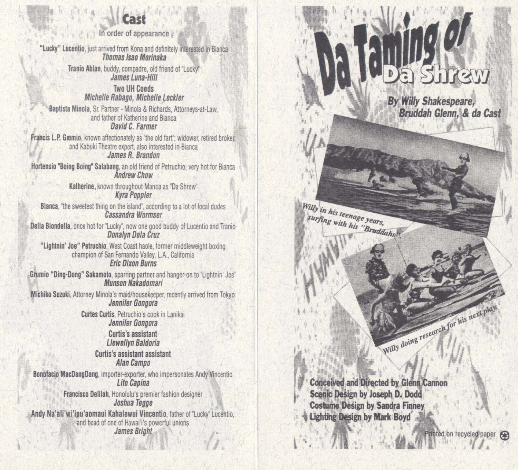### \I **Cast**

In order of appea rance

"Lucky" Lucentio, just arrived from Kona and definitely interested in Bianca<br>Thomas Isao Morinaka Tranio Ablan, buddy, compadre, old friend of "Lucky"<br>James Luna-Hill Two UH Coeds *(,*  Michelle Rabago, Michelle Leckler Baptista Mi nola, Sr. Partner· Minola & Richards, Attorneys-at-law, and father of Katherine and Bianca David C. Farmer Francis L.P. Gremio, known affectionately as "the old fart"; widower, retired broker, and Kabuki Theatre expert, also interested in Bianca James R. Brandon Hortensio "Boing Boing" Salabang, an old friend of Petruchio, very hot for Bianca<br>Andrew Chow Katherine, known throughout Manoa as 'Da Shrew· Kyra Popp ler Bianca, 'the sweetest thing on the island', according to a lot of local dudes Cassandra Wo rmser Della Biondella, once hot for "Lucky", now one good buddy of Lucentio and Tranio Donalyn De/a Cruz "Lightnin' Joe" Petruchio, West Coast haole, former middleweight boxing ch ampion of San Fernando Valley, L.A., California Eric Dixon Burns Grumio "Ding-Dong" Sakamoto, sparring partner and hanger-on to "Lightnin' Joe" Munson Nakadomari Michiko Suzuki, Attorney Minola's maid/housekeeper, recently arrived from Tokyo Jennifer Gongora Curtes Curtis, Petruchio's cook in Lanikai Jennifer Gongora Curtis 's assistant Llewellyn Baldoria Curtis 's assistant assistant Alan Campo Bonofacio MacDangDang, importer-exporter, who impersonates Andy Vincentio Lito Capina Francisco Delilah, Honolulu 's premier fashion designer Joshua Tegge Andy Na'ali'wi'ipu'aomaui Kahalewui Vincentio, father of "Lucky" Lucentio, and head of one of Hawai'i's powerful unions James Bright  $\mathbf{H} \in \mathbb{R}$  is a set of  $\mathbb{Z}$  and  $\mathbb{Z}$  . Then  $\mathbb{Z}$ 

By Willy Shakespeare, Bruddah Glenn, & da Cast

Willy in his teenage years, surfing with his "Bruddahs".

Willy doing research for his next play.

**Conceived and Directed by Glenn Cannon** Scenic Design by Joseph D. Dodd **Costume Design by Sandra Finney Lighting Design by Mark Boyd** 

ed on recycled paper <sup>@</sup>